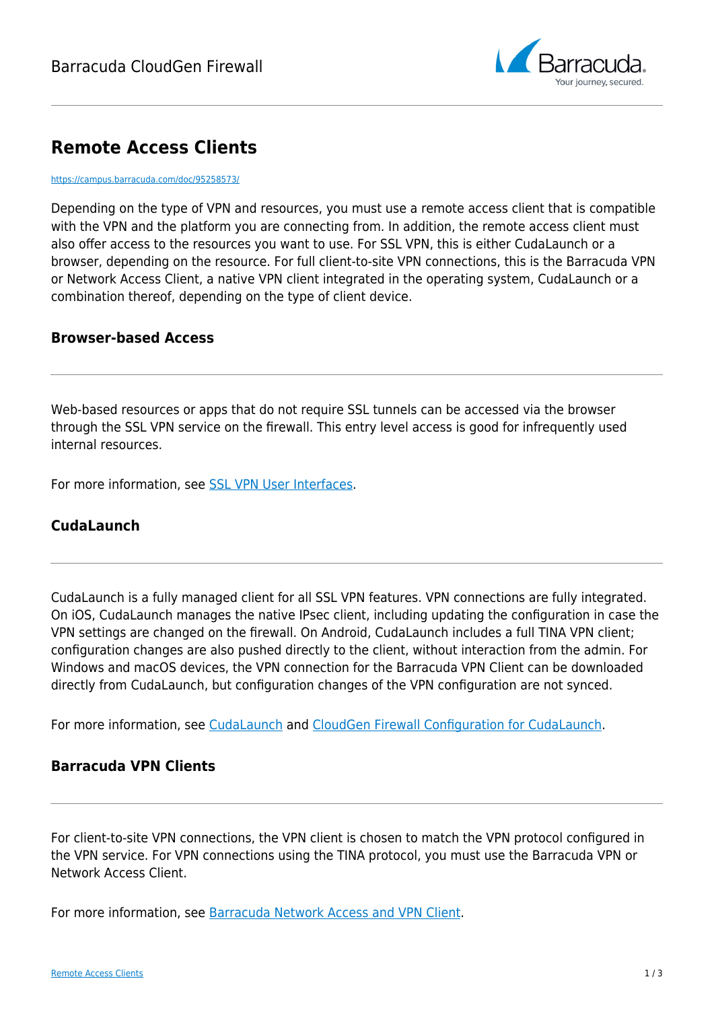

# **Remote Access Clients**

#### <https://campus.barracuda.com/doc/95258573/>

Depending on the type of VPN and resources, you must use a remote access client that is compatible with the VPN and the platform you are connecting from. In addition, the remote access client must also offer access to the resources you want to use. For SSL VPN, this is either CudaLaunch or a browser, depending on the resource. For full client-to-site VPN connections, this is the Barracuda VPN or Network Access Client, a native VPN client integrated in the operating system, CudaLaunch or a combination thereof, depending on the type of client device.

#### **Browser-based Access**

Web-based resources or apps that do not require SSL tunnels can be accessed via the browser through the SSL VPN service on the firewall. This entry level access is good for infrequently used internal resources.

For more information, see [SSL VPN User Interfaces](http://campus.barracuda.com/doc/95258742/).

### **CudaLaunch**

CudaLaunch is a fully managed client for all SSL VPN features. VPN connections are fully integrated. On iOS, CudaLaunch manages the native IPsec client, including updating the configuration in case the VPN settings are changed on the firewall. On Android, CudaLaunch includes a full TINA VPN client; configuration changes are also pushed directly to the client, without interaction from the admin. For Windows and macOS devices, the VPN connection for the Barracuda VPN Client can be downloaded directly from CudaLaunch, but configuration changes of the VPN configuration are not synced.

For more information, see [CudaLaunch](http://campus.barracuda.com/doc/95258577/) and [CloudGen Firewall Configuration for CudaLaunch.](http://campus.barracuda.com/doc/95258753/)

#### **Barracuda VPN Clients**

For client-to-site VPN connections, the VPN client is chosen to match the VPN protocol configured in the VPN service. For VPN connections using the TINA protocol, you must use the Barracuda VPN or Network Access Client.

For more information, see [Barracuda Network Access and VPN Client](http://campus.barracuda.com/doc/95258574/).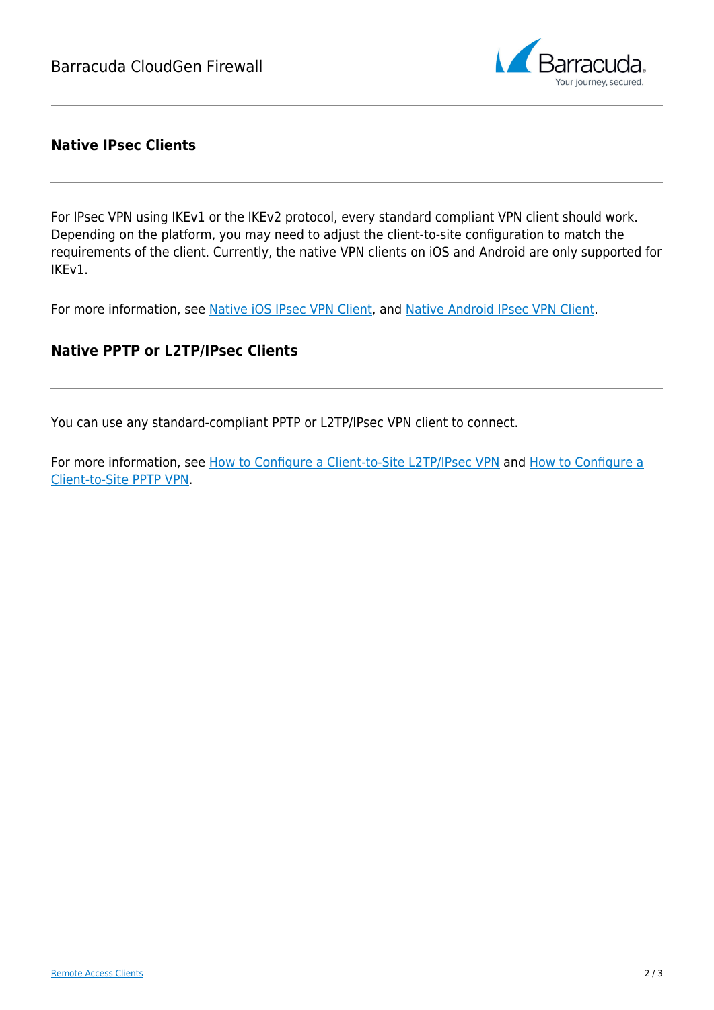

#### **Native IPsec Clients**

For IPsec VPN using IKEv1 or the IKEv2 protocol, every standard compliant VPN client should work. Depending on the platform, you may need to adjust the client-to-site configuration to match the requirements of the client. Currently, the native VPN clients on iOS and Android are only supported for IKEv1.

For more information, see [Native iOS IPsec VPN Client](http://campus.barracuda.com/doc/95258576/), and [Native Android IPsec VPN Client.](http://campus.barracuda.com/doc/95258575/)

#### **Native PPTP or L2TP/IPsec Clients**

You can use any standard-compliant PPTP or L2TP/IPsec VPN client to connect.

For more information, see [How to Configure a Client-to-Site L2TP/IPsec VPN](http://campus.barracuda.com/doc/95258776/) and [How to Configure a](http://campus.barracuda.com/doc/95258777/) [Client-to-Site PPTP VPN.](http://campus.barracuda.com/doc/95258777/)